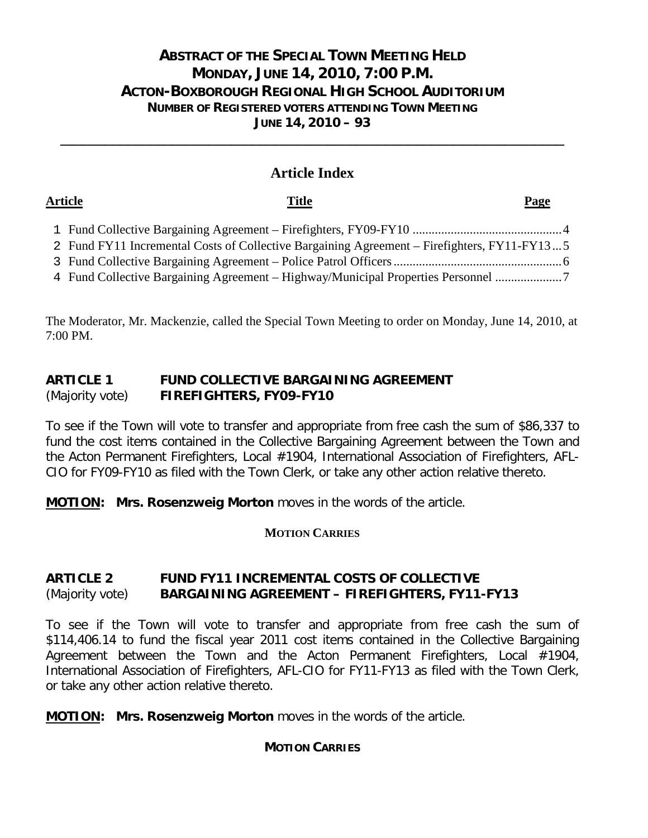# **ABSTRACT OF THE SPECIAL TOWN MEETING HELD MONDAY, JUNE 14, 2010, 7:00 P.M. ACTON-BOXBOROUGH REGIONAL HIGH SCHOOL AUDITORIUM NUMBER OF REGISTERED VOTERS ATTENDING TOWN MEETING JUNE 14, 2010 – 93**

# **Article Index**

**\_\_\_\_\_\_\_\_\_\_\_\_\_\_\_\_\_\_\_\_\_\_\_\_\_\_\_\_\_\_\_\_\_\_\_\_\_\_\_\_\_\_\_\_\_\_\_\_\_\_\_\_\_\_\_\_\_\_\_\_\_\_\_\_\_\_\_\_**

## **Article Title Page**

| 2 Fund FY11 Incremental Costs of Collective Bargaining Agreement – Firefighters, FY11-FY135 |
|---------------------------------------------------------------------------------------------|
|                                                                                             |
| 4 Fund Collective Bargaining Agreement – Highway/Municipal Properties Personnel             |

The Moderator, Mr. Mackenzie, called the Special Town Meeting to order on Monday, June 14, 2010, at 7:00 PM.

# **ARTICLE 1 FUND COLLECTIVE BARGAINING AGREEMENT** (Majority vote) **FIREFIGHTERS, FY09-FY10**

To see if the Town will vote to transfer and appropriate from free cash the sum of \$86,337 to fund the cost items contained in the Collective Bargaining Agreement between the Town and the Acton Permanent Firefighters, Local #1904, International Association of Firefighters, AFL-CIO for FY09-FY10 as filed with the Town Clerk, or take any other action relative thereto.

**MOTION: Mrs. Rosenzweig Morton** moves in the words of the article.

# **MOTION CARRIES**

# **ARTICLE 2 FUND FY11 INCREMENTAL COSTS OF COLLECTIVE** (Majority vote) **BARGAINING AGREEMENT – FIREFIGHTERS, FY11-FY13**

To see if the Town will vote to transfer and appropriate from free cash the sum of \$114,406.14 to fund the fiscal year 2011 cost items contained in the Collective Bargaining Agreement between the Town and the Acton Permanent Firefighters, Local #1904, International Association of Firefighters, AFL-CIO for FY11-FY13 as filed with the Town Clerk, or take any other action relative thereto.

**MOTION: Mrs. Rosenzweig Morton** moves in the words of the article.

# **MOTION CARRIES**